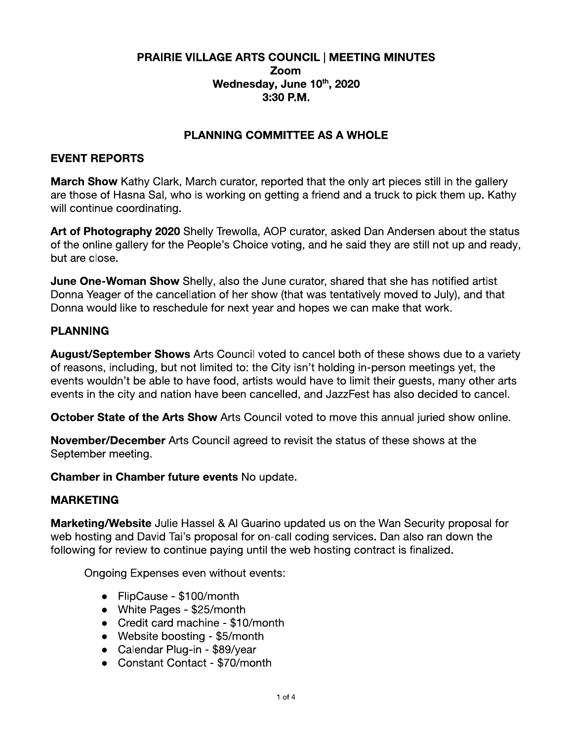#### PRAIRIE VILLAGE ARTS COUNCIL | MEETING MINUTES Zoom Wednesday, June 10th, 2020  $3:30$  P.M.

## **PLANNING COMMITTEE AS A WHOLE**

#### **EVENT REPORTS**

**March Show** Kathy Clark, March curator, reported that the only art pieces still in the gallery are those of Hasna Sal, who is working on getting a friend and a truck to pick them up. Kathy will continue coordinating.

Art of Photography 2020 Shelly Trewolla, AOP curator, asked Dan Andersen about the status of the online gallery for the People's Choice voting, and he said they are still not up and ready, but are close.

**June One-Woman Show** Shelly, also the June curator, shared that she has notified artist Donna Yeager of the cancellation of her show (that was tentatively moved to July), and that Donna would like to reschedule for next year and hopes we can make that work.

### **PLANNING**

August/September Shows Arts Council voted to cancel both of these shows due to a variety of reasons, including, but not limited to: the City isn't holding in-person meetings yet, the events wouldn't be able to have food, artists would have to limit their guests, many other arts events in the city and nation have been cancelled, and JazzFest has also decided to cancel.

**October State of the Arts Show** Arts Council voted to move this annual juried show online.

**November/December** Arts Council agreed to revisit the status of these shows at the September meeting.

Chamber in Chamber future events No update.

#### **MARKETING**

**Marketing/Website** Julie Hassel & AI Guarino updated us on the Wan Security proposal for web hosting and David Tai's proposal for on-call coding services. Dan also ran down the following for review to continue paying until the web hosting contract is finalized.

Ongoing Expenses even without events:

- FlipCause \$100/month
- White Pages \$25/month
- Credit card machine \$10/month
- Website boosting  $$5/m$ onth
- Calendar Plug-in \$89/year
- Constant Contact \$70/month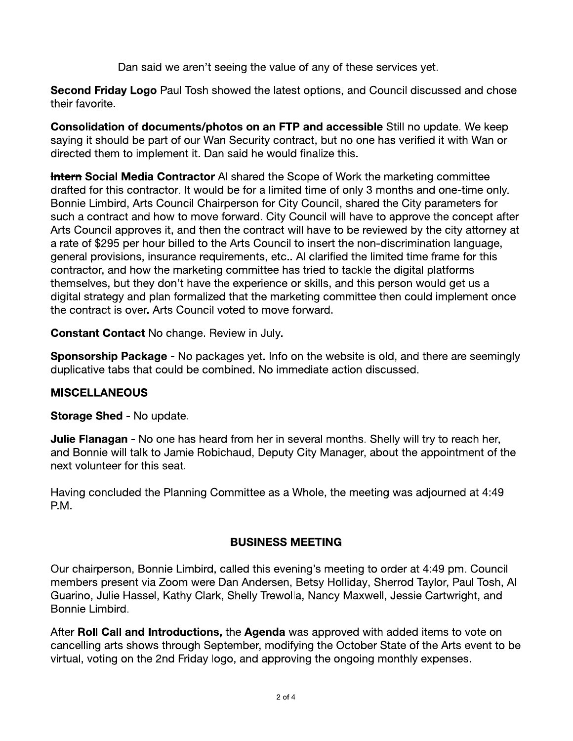Dan said we aren't seeing the value of any of these services yet.

**Second Friday Logo** Paul Tosh showed the latest options, and Council discussed and chose their favorite.

Consolidation of documents/photos on an FTP and accessible Still no update. We keep saying it should be part of our Wan Security contract, but no one has verified it with Wan or directed them to implement it. Dan said he would finalize this.

**Intern Social Media Contractor** AI shared the Scope of Work the marketing committee drafted for this contractor. It would be for a limited time of only 3 months and one-time only. Bonnie Limbird, Arts Council Chairperson for City Council, shared the City parameters for such a contract and how to move forward. City Council will have to approve the concept after Arts Council approves it, and then the contract will have to be reviewed by the city attorney at a rate of \$295 per hour billed to the Arts Council to insert the non-discrimination language, general provisions, insurance requirements, etc.. Al clarified the limited time frame for this contractor, and how the marketing committee has tried to tackle the digital platforms themselves, but they don't have the experience or skills, and this person would get us a digital strategy and plan formalized that the marketing committee then could implement once the contract is over. Arts Council voted to move forward.

**Constant Contact No change. Review in July.** 

**Sponsorship Package** - No packages yet. Info on the website is old, and there are seemingly duplicative tabs that could be combined. No immediate action discussed.

## **MISCELLANEOUS**

Storage Shed - No update.

**Julie Flanagan** - No one has heard from her in several months. Shelly will try to reach her, and Bonnie will talk to Jamie Robichaud, Deputy City Manager, about the appointment of the next volunteer for this seat.

Having concluded the Planning Committee as a Whole, the meeting was adjourned at 4:49 P.M.

## **BUSINESS MEETING**

Our chairperson, Bonnie Limbird, called this evening's meeting to order at 4:49 pm. Council members present via Zoom were Dan Andersen, Betsy Holliday, Sherrod Taylor, Paul Tosh, Al Guarino, Julie Hassel, Kathy Clark, Shelly Trewolla, Nancy Maxwell, Jessie Cartwright, and Bonnie Limbird.

After Roll Call and Introductions, the Agenda was approved with added items to vote on cancelling arts shows through September, modifying the October State of the Arts event to be virtual, voting on the 2nd Friday logo, and approving the ongoing monthly expenses.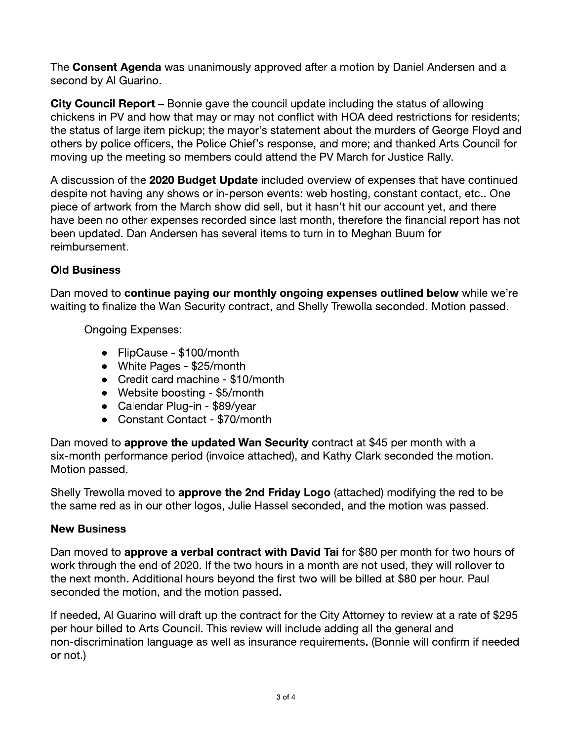The Consent Agenda was unanimously approved after a motion by Daniel Andersen and a second by Al Guarino.

**City Council Report** – Bonnie gave the council update including the status of allowing chickens in PV and how that may or may not conflict with HOA deed restrictions for residents; the status of large item pickup; the mayor's statement about the murders of George Floyd and others by police officers, the Police Chief's response, and more; and thanked Arts Council for moving up the meeting so members could attend the PV March for Justice Rally.

A discussion of the 2020 Budget Update included overview of expenses that have continued despite not having any shows or in-person events: web hosting, constant contact, etc.. One piece of artwork from the March show did sell, but it hasn't hit our account vet, and there have been no other expenses recorded since last month, therefore the financial report has not been updated. Dan Andersen has several items to turn in to Meghan Buum for reimbursement.

# **Old Business**

Dan moved to continue paying our monthly ongoing expenses outlined below while we're waiting to finalize the Wan Security contract, and Shelly Trewolla seconded. Motion passed.

**Ongoing Expenses:** 

- FlipCause \$100/month
- White Pages \$25/month
- Credit card machine \$10/month
- Website boosting \$5/month
- Calendar Plug-in \$89/year
- Constant Contact \$70/month

Dan moved to approve the updated Wan Security contract at \$45 per month with a six-month performance period (invoice attached), and Kathy Clark seconded the motion. Motion passed.

Shelly Trewolla moved to approve the 2nd Friday Logo (attached) modifying the red to be the same red as in our other logos, Julie Hassel seconded, and the motion was passed.

## **New Business**

Dan moved to approve a verbal contract with David Tai for \$80 per month for two hours of work through the end of 2020. If the two hours in a month are not used, they will rollover to the next month. Additional hours beyond the first two will be billed at \$80 per hour. Paul seconded the motion, and the motion passed.

If needed, AI Guarino will draft up the contract for the City Attorney to review at a rate of \$295 per hour billed to Arts Council. This review will include adding all the general and non-discrimination language as well as insurance requirements. (Bonnie will confirm if needed or not.)